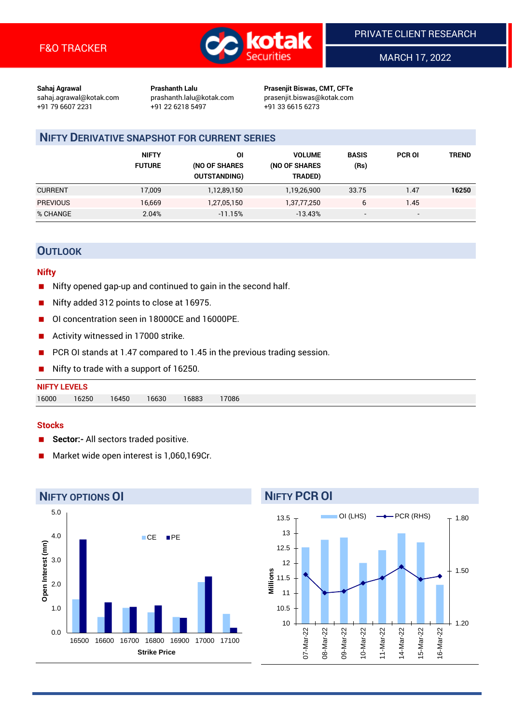

MARCH 17, 2022

**Sahaj Agrawal Prashanth Lalu Prasenjit Biswas, CMT, CFTe** +91 79 6607 2231 +91 22 6218 5497 +91 33 6615 6273

sahaj.agrawal@kotak.com [prashanth.lalu@kotak.com](mailto:prashanth.lalu@kotak.com) prasenjit.biswas@kotak.com

# **NIFTY DERIVATIVE SNAPSHOT FOR CURRENT SERIES**

|                 | <b>NIFTY</b><br><b>FUTURE</b> | ΟI<br>(NO OF SHARES<br><b>OUTSTANDING)</b> | <b>VOLUME</b><br>(NO OF SHARES<br>TRADED) | <b>BASIS</b><br>(Rs)     | <b>PCR OI</b>            | TREND |
|-----------------|-------------------------------|--------------------------------------------|-------------------------------------------|--------------------------|--------------------------|-------|
| <b>CURRENT</b>  | 17.009                        | 1,12,89,150                                | 1,19,26,900                               | 33.75                    | 1.47                     | 16250 |
| <b>PREVIOUS</b> | 16,669                        | 1,27,05,150                                | 1,37,77,250                               | 6                        | 1.45                     |       |
| % CHANGE        | 2.04%                         | $-11.15%$                                  | $-13.43%$                                 | $\overline{\phantom{a}}$ | $\overline{\phantom{a}}$ |       |

## **OUTLOOK**

#### **Nifty**

- Nifty opened gap-up and continued to gain in the second half.
- Nifty added 312 points to close at 16975.
- OI concentration seen in 18000CE and 16000PE.
- Activity witnessed in 17000 strike.
- PCR OI stands at 1.47 compared to 1.45 in the previous trading session.
- Nifty to trade with a support of 16250.

#### **Stocks**

- **Sector:-** All sectors traded positive.
- Market wide open interest is 1,060,169Cr.



# 13.5

**NIFTY PCR OI**

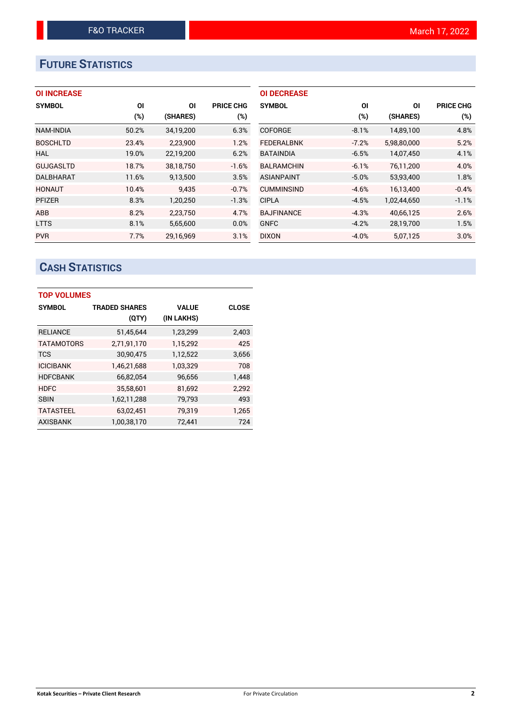# **FUTURE STATISTICS**

|  |  | <b>OI INCREASE</b> |  |
|--|--|--------------------|--|
|--|--|--------------------|--|

| <b>SYMBOL</b>    | ΟI    | ΟI        | <b>PRICE CHG</b> |
|------------------|-------|-----------|------------------|
|                  | (%)   | (SHARES)  | $(\%)$           |
| <b>NAM-INDIA</b> | 50.2% | 34,19,200 | 6.3%             |
| <b>BOSCHLTD</b>  | 23.4% | 2,23,900  | 1.2%             |
| HAL              | 19.0% | 22,19,200 | 6.2%             |
| <b>GUJGASLTD</b> | 18.7% | 38.18.750 | $-1.6%$          |
| <b>DALBHARAT</b> | 11.6% | 9,13,500  | 3.5%             |
| <b>HONAUT</b>    | 10.4% | 9.435     | $-0.7%$          |
| <b>PFIZER</b>    | 8.3%  | 1,20,250  | $-1.3%$          |
| ABB              | 8.2%  | 2,23,750  | 4.7%             |
| <b>LTTS</b>      | 8.1%  | 5,65,600  | 0.0%             |
| <b>PVR</b>       | 7.7%  | 29.16.969 | 3.1%             |

| <b>OI DECREASE</b> |         |             |                  |
|--------------------|---------|-------------|------------------|
| <b>SYMBOL</b>      | ΟI      | ΟI          | <b>PRICE CHG</b> |
|                    | (%)     | (SHARES)    | (%)              |
| <b>COFORGE</b>     | $-8.1%$ | 14,89,100   | 4.8%             |
| <b>FEDERALBNK</b>  | $-7.2%$ | 5,98,80,000 | 5.2%             |
| <b>BATAINDIA</b>   | $-6.5%$ | 14,07,450   | 4.1%             |
| <b>BALRAMCHIN</b>  | $-6.1%$ | 76,11,200   | 4.0%             |
| <b>ASIANPAINT</b>  | $-5.0%$ | 53,93,400   | 1.8%             |
| <b>CUMMINSIND</b>  | $-4.6%$ | 16,13,400   | $-0.4%$          |
| <b>CIPLA</b>       | $-4.5%$ | 1,02,44,650 | $-1.1%$          |
| <b>BAJFINANCE</b>  | $-4.3%$ | 40,66,125   | 2.6%             |
| <b>GNFC</b>        | $-4.2%$ | 28,19,700   | 1.5%             |
| <b>DIXON</b>       | $-4.0%$ | 5,07,125    | 3.0%             |

# **CASH STATISTICS**

| <b>TOP VOLUMES</b> |                      |              |              |  |  |  |  |  |
|--------------------|----------------------|--------------|--------------|--|--|--|--|--|
| <b>SYMBOL</b>      | <b>TRADED SHARES</b> | <b>VALUE</b> | <b>CLOSE</b> |  |  |  |  |  |
|                    | (QTY)                | (IN LAKHS)   |              |  |  |  |  |  |
| <b>RELIANCE</b>    | 51.45.644            | 1,23,299     | 2,403        |  |  |  |  |  |
| <b>TATAMOTORS</b>  | 2,71,91,170          | 1,15,292     | 425          |  |  |  |  |  |
| <b>TCS</b>         | 30,90,475            | 1,12,522     | 3,656        |  |  |  |  |  |
| <b>ICICIBANK</b>   | 1,46,21,688          | 1,03,329     | 708          |  |  |  |  |  |
| <b>HDFCBANK</b>    | 66,82,054            | 96,656       | 1,448        |  |  |  |  |  |
| <b>HDFC</b>        | 35,58,601            | 81,692       | 2.292        |  |  |  |  |  |
| <b>SBIN</b>        | 1,62,11,288          | 79,793       | 493          |  |  |  |  |  |
| <b>TATASTEEL</b>   | 63,02,451            | 79,319       | 1,265        |  |  |  |  |  |
| <b>AXISBANK</b>    | 1,00,38,170          | 72.441       | 724          |  |  |  |  |  |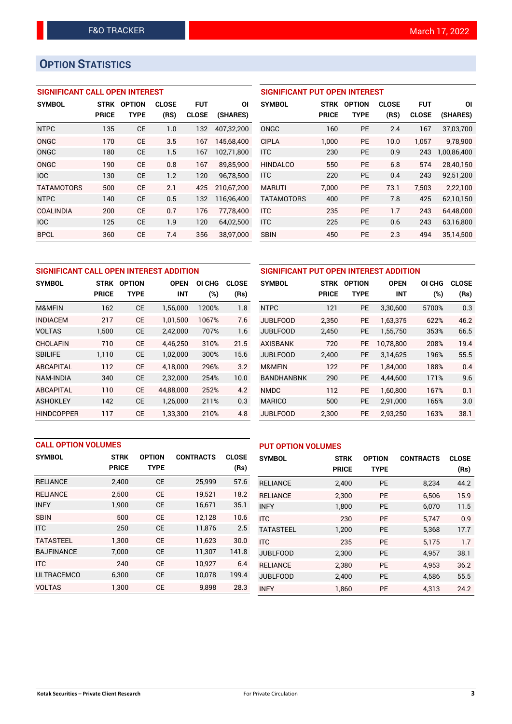# **OPTION STATISTICS**

## **SIGNIFICANT CALL OPEN INTEREST**

| <b>SYMBOL</b>     | <b>STRK</b>  | <b>OPTION</b> | <b>CLOSE</b> | <b>FUT</b>   | ΟI         |
|-------------------|--------------|---------------|--------------|--------------|------------|
|                   | <b>PRICE</b> | TYPE          | (RS)         | <b>CLOSE</b> | (SHARES)   |
| <b>NTPC</b>       | 135          | <b>CE</b>     | 1.0          | 132          | 407,32,200 |
| ONGC              | 170          | CE            | 3.5          | 167          | 145,68,400 |
| <b>ONGC</b>       | 180          | <b>CE</b>     | 1.5          | 167          | 102,71,800 |
| ONGC              | 190          | CE            | 0.8          | 167          | 89,85,900  |
| <b>IOC</b>        | 130          | CE            | 1.2          | 120          | 96,78,500  |
| <b>TATAMOTORS</b> | 500          | CE            | 2.1          | 425          | 210,67,200 |
| <b>NTPC</b>       | 140          | CE            | 0.5          | 132          | 116,96,400 |
| <b>COALINDIA</b>  | 200          | CE            | 0.7          | 176          | 77,78,400  |
| <b>IOC</b>        | 125          | CE            | 1.9          | 120          | 64,02,500  |
| <b>BPCL</b>       | 360          | CE            | 7.4          | 356          | 38.97.000  |

## **SIGNIFICANT PUT OPEN INTEREST**

| <b>SYMBOL</b>     | <b>STRK</b><br><b>PRICE</b> | <b>OPTION</b><br><b>TYPE</b> | <b>CLOSE</b><br>(RS) | <b>FUT</b><br><b>CLOSE</b> | ΟI<br>(SHARES) |
|-------------------|-----------------------------|------------------------------|----------------------|----------------------------|----------------|
| ONGC              | 160                         | <b>PE</b>                    | 2.4                  | 167                        | 37,03,700      |
| <b>CIPLA</b>      | 1.000                       | <b>PE</b>                    | 10.0                 | 1,057                      | 9,78,900       |
| <b>ITC</b>        | 230                         | <b>PE</b>                    | 0.9                  | 243                        | 1,00,86,400    |
| <b>HINDALCO</b>   | 550                         | <b>PE</b>                    | 6.8                  | 574                        | 28,40,150      |
| <b>ITC</b>        | 220                         | <b>PE</b>                    | 0.4                  | 243                        | 92,51,200      |
| <b>MARUTI</b>     | 7.000                       | PF                           | 73.1                 | 7,503                      | 2,22,100       |
| <b>TATAMOTORS</b> | 400                         | <b>PE</b>                    | 7.8                  | 425                        | 62,10,150      |
| <b>ITC</b>        | 235                         | <b>PE</b>                    | 1.7                  | 243                        | 64,48,000      |
| <b>ITC</b>        | 225                         | <b>PE</b>                    | 0.6                  | 243                        | 63,16,800      |
| <b>SBIN</b>       | 450                         | <b>PE</b>                    | 2.3                  | 494                        | 35,14,500      |

| SIGNIFICANT CALL OPEN INTEREST ADDITION |              |               |             |        | SIGNIFICANT PUT OPEN INTEREST ADDITION |                   |              |               |             |        |              |
|-----------------------------------------|--------------|---------------|-------------|--------|----------------------------------------|-------------------|--------------|---------------|-------------|--------|--------------|
| <b>SYMBOL</b>                           | <b>STRK</b>  | <b>OPTION</b> | <b>OPEN</b> | OI CHG | <b>CLOSE</b>                           | <b>SYMBOL</b>     | <b>STRK</b>  | <b>OPTION</b> | <b>OPEN</b> | OI CHG | <b>CLOSE</b> |
|                                         | <b>PRICE</b> | <b>TYPE</b>   | <b>INT</b>  | $(\%)$ | (Rs)                                   |                   | <b>PRICE</b> | <b>TYPE</b>   | <b>INT</b>  | (%)    | (Rs)         |
| M&MFIN                                  | 162          | <b>CE</b>     | 1,56,000    | 1200%  | 1.8                                    | <b>NTPC</b>       | 121          | PE            | 3,30,600    | 5700%  | 0.3          |
| <b>INDIACEM</b>                         | 217          | <b>CE</b>     | 1.01.500    | 1067%  | 7.6                                    | <b>JUBLFOOD</b>   | 2,350        | <b>PE</b>     | 1.63.375    | 622%   | 46.2         |
| <b>VOLTAS</b>                           | 1,500        | <b>CE</b>     | 2,42,000    | 707%   | 1.6                                    | <b>JUBLFOOD</b>   | 2,450        | PE            | 1,55,750    | 353%   | 66.5         |
| <b>CHOLAFIN</b>                         | 710          | <b>CE</b>     | 4,46,250    | 310%   | 21.5                                   | <b>AXISBANK</b>   | 720          | <b>PE</b>     | 10.78.800   | 208%   | 19.4         |
| <b>SBILIFE</b>                          | 1,110        | <b>CE</b>     | 1,02,000    | 300%   | 15.6                                   | <b>JUBLFOOD</b>   | 2,400        | PE            | 3,14,625    | 196%   | 55.5         |
| <b>ABCAPITAL</b>                        | 112          | <b>CE</b>     | 4.18.000    | 296%   | 3.2                                    | M&MFIN            | 122          | <b>PE</b>     | 1.84.000    | 188%   | 0.4          |
| <b>NAM-INDIA</b>                        | 340          | <b>CE</b>     | 2,32,000    | 254%   | 10.0                                   | <b>BANDHANBNK</b> | 290          | <b>PE</b>     | 4,44,600    | 171%   | 9.6          |
| <b>ABCAPITAL</b>                        | 110          | <b>CE</b>     | 44.88.000   | 252%   | 4.2                                    | <b>NMDC</b>       | 112          | <b>PE</b>     | 1.60.800    | 167%   | 0.1          |
| <b>ASHOKLEY</b>                         | 142          | <b>CE</b>     | 1,26,000    | 211%   | 0.3                                    | <b>MARICO</b>     | 500          | <b>PE</b>     | 2,91,000    | 165%   | 3.0          |
| <b>HINDCOPPER</b>                       | 117          | <b>CE</b>     | 1,33,300    | 210%   | 4.8                                    | <b>JUBLFOOD</b>   | 2,300        | PE            | 2,93,250    | 163%   | 38.1         |

|                   | <b>CALL OPTION VOLUMES</b> |               |                  |              | <b>PUT OPTION VOLUMES</b> |              |               |                  |              |
|-------------------|----------------------------|---------------|------------------|--------------|---------------------------|--------------|---------------|------------------|--------------|
| <b>SYMBOL</b>     | <b>STRK</b>                | <b>OPTION</b> | <b>CONTRACTS</b> | <b>CLOSE</b> | <b>SYMBOL</b>             | <b>STRK</b>  | <b>OPTION</b> | <b>CONTRACTS</b> | <b>CLOSE</b> |
|                   | <b>PRICE</b>               | <b>TYPE</b>   |                  | (Rs)         |                           | <b>PRICE</b> | <b>TYPE</b>   |                  | (Rs)         |
| <b>RELIANCE</b>   | 2,400                      | <b>CE</b>     | 25,999           | 57.6         | <b>RELIANCE</b>           | 2,400        | <b>PE</b>     | 8,234            | 44.2         |
| <b>RELIANCE</b>   | 2,500                      | <b>CE</b>     | 19,521           | 18.2         | <b>RELIANCE</b>           | 2.300        | <b>PE</b>     | 6.506            | 15.9         |
| <b>INFY</b>       | 1,900                      | <b>CE</b>     | 16,671           | 35.1         | <b>INFY</b>               | 1,800        | <b>PE</b>     | 6,070            | 11.5         |
| <b>SBIN</b>       | 500                        | <b>CE</b>     | 12,128           | 10.6         | <b>ITC</b>                | 230          | <b>PE</b>     | 5.747            | 0.9          |
| <b>ITC</b>        | 250                        | <b>CE</b>     | 11,876           | 2.5          | <b>TATASTEEL</b>          | 1,200        | <b>PE</b>     | 5,368            | 17.7         |
| <b>TATASTEEL</b>  | 1.300                      | <b>CE</b>     | 11,623           | 30.0         | <b>ITC</b>                | 235          | <b>PE</b>     | 5.175            | 1.7          |
| <b>BAJFINANCE</b> | 7,000                      | <b>CE</b>     | 11,307           | 141.8        | <b>JUBLFOOD</b>           | 2,300        | <b>PE</b>     | 4,957            | 38.1         |
| ITC               | 240                        | <b>CE</b>     | 10.927           | 6.4          | <b>RELIANCE</b>           | 2.380        | <b>PE</b>     | 4.953            | 36.2         |
| <b>ULTRACEMCO</b> | 6,300                      | <b>CE</b>     | 10,078           | 199.4        | <b>JUBLFOOD</b>           | 2,400        | <b>PE</b>     | 4.586            | 55.5         |
| <b>VOLTAS</b>     | 1,300                      | <b>CE</b>     | 9,898            | 28.3         | <b>INFY</b>               | 1.860        | <b>PE</b>     | 4.313            | 24.2         |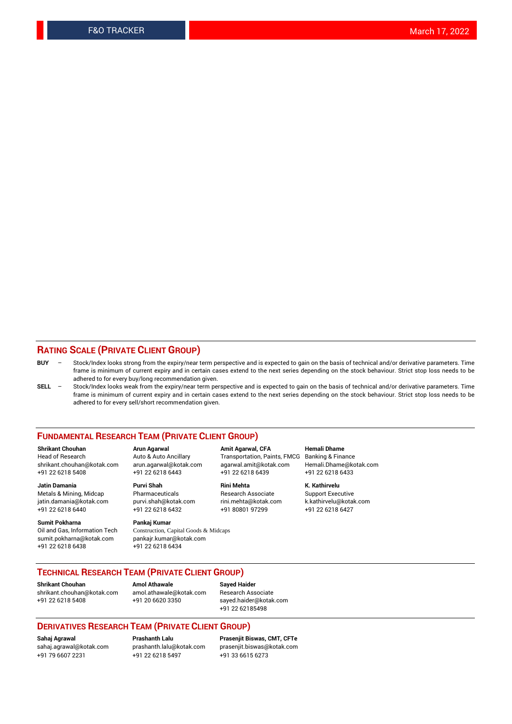### **RATING SCALE (PRIVATE CLIENT GROUP)**

- **BUY**  Stock/Index looks strong from the expiry/near term perspective and is expected to gain on the basis of technical and/or derivative parameters. Time frame is minimum of current expiry and in certain cases extend to the next series depending on the stock behaviour. Strict stop loss needs to be adhered to for every buy/long recommendation given.
- **SELL** Stock/Index looks weak from the expiry/near term perspective and is expected to gain on the basis of technical and/or derivative parameters. Time frame is minimum of current expiry and in certain cases extend to the next series depending on the stock behaviour. Strict stop loss needs to be adhered to for every sell/short recommendation given.

#### **FUNDAMENTAL RESEARCH TEAM (PRIVATE CLIENT GROUP)**

**Shrikant Chouhan Arun Agarwal Amit Agarwal, CFA Hemali Dhame** shrikant.chouhan@kotak.com arun.agarwal@kotak.com agarwal.amit@kotak.com Hemali.Dhame@kotak.com +91 22 6218 5408 +91 22 6218 6443 +91 22 6218 6439 +91 22 6218 6433

jatin.damania@kotak.com +91 22 6218 6440 +91 22 6218 6432 +91 80801 97299 +91 22 6218 6427

**Sumit Pokharna** Pankaj Kumar<br>Oil and Gas, Information Tech Construction, C sumit.pokharna@kotak.com pankajr.kumar@kotak.com +91 22 6218 6438 +91 22 6218 6434

**Jatin Damania Purvi Shah Rini Mehta K. Kathirvelu**

Construction, Capital Goods & Midcaps

Transportation, Paints, FMCG

Metals & Mining, Midcap Pharmaceuticals Pharmaceuticals Research Associate Support Executive<br>
iatin.damania@kotak.com purvi.shah@kotak.com rini.mehta@kotak.com k.kathirvelu@kotak.com

## **TECHNICAL RESEARCH TEAM (PRIVATE CLIENT GROUP)**

**Shrikant Chouhan Amol Athawale Sayed Haider** [shrikant.chouhan@kotak.com](mailto:shrikant.chouhan@kotak.com) [amol.athawale@kotak.com](mailto:amol.athawale@kotak.com) Research Associate +91 22 6218 5408 +91 20 6620 3350 [sayed.haider@kotak.com](mailto:sayed.haider@kotak.com)

+91 22 62185498

#### **DERIVATIVES RESEARCH TEAM (PRIVATE CLIENT GROUP)**

+91 79 6607 2231 +91 22 6218 5497 +91 33 6615 6273

**Sahaj Agrawal Prashanth Lalu Prasenjit Biswas, CMT, CFTe** [prasenjit.biswas@kotak.com](mailto:prasenjit.biswas@kotak.com)